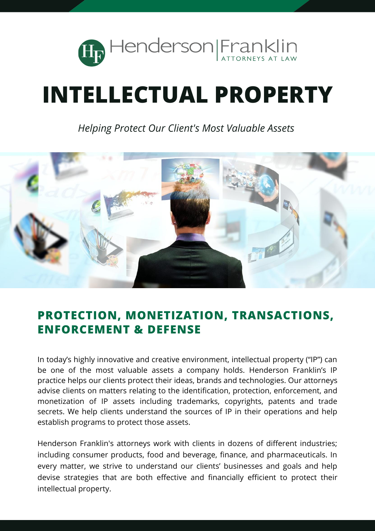

# **INTELLECTUAL PROPERTY**

*Helping Protect Our Client's Most Valuable Assets*



### **PROTECTION, MONETIZATION, TRANSACTIONS, ENFORCEMENT & DEFENSE**

In today's highly innovative and creative environment, intellectual property ("IP") can be one of the most valuable assets a company holds. Henderson Franklin's IP practice helps our clients protect their ideas, brands and technologies. Our attorneys advise clients on matters relating to the identification, protection, enforcement, and monetization of IP assets including trademarks, copyrights, patents and trade secrets. We help clients understand the sources of IP in their operations and help establish programs to protect those assets.

Henderson Franklin's attorneys work with clients in dozens of different industries; including consumer products, food and beverage, finance, and pharmaceuticals. In every matter, we strive to understand our clients' businesses and goals and help devise strategies that are both effective and financially efficient to protect their intellectual property.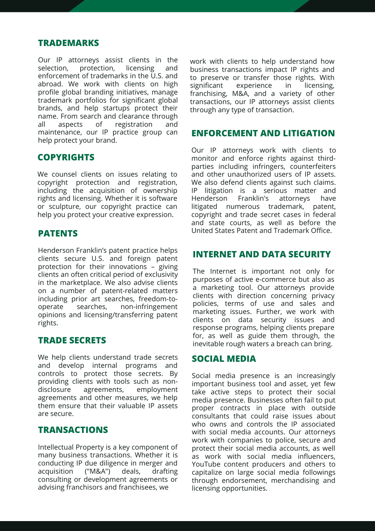#### **TRADEMARKS**

Our IP attorneys assist clients in the selection, protection, licensing and selection, protection, licensing and enforcement of trademarks in the U.S. and abroad. We work with clients on high profile global branding initiatives, manage trademark portfolios for significant global brands, and help startups protect their name. From search and clearance through all aspects of registration and maintenance, our IP practice group can help protect your brand.

#### **COPYRIGHTS**

We counsel clients on issues relating to copyright protection and registration, including the acquisition of ownership rights and licensing. Whether it is software or sculpture, our copyright practice can help you protect your creative expression.

#### **PATENTS**

Henderson Franklin's patent practice helps clients secure U.S. and foreign patent protection for their innovations – giving clients an often critical period of exclusivity in the marketplace. We also advise clients on a number of patent-related matters including prior art searches, freedom-tooperate searches, non-infringement opinions and licensing/transferring patent rights.

#### **TRADE SECRETS**

We help clients understand trade secrets and develop internal programs and controls to protect those secrets. By providing clients with tools such as nondisclosure agreements, employment agreements and other measures, we help them ensure that their valuable IP assets are secure.

#### **TRANSACTIONS**

Intellectual Property is a key component of many business transactions. Whether it is conducting IP due diligence in merger and acquisition ("M&A") deals, drafting consulting or development agreements or advising franchisors and franchisees, we

work with clients to help understand how business transactions impact IP rights and to preserve or transfer those rights. With significant experience in licensing, franchising, M&A, and a variety of other transactions, our IP attorneys assist clients through any type of transaction.

#### **ENFORCEMENT AND LITIGATION**

Our IP attorneys work with clients to monitor and enforce rights against thirdparties including infringers, counterfeiters and other unauthorized users of IP assets. We also defend clients against such claims. IP litigation is a serious matter and<br>Henderson Franklin's attorneys have Henderson Franklin's attorneys have litigated numerous trademark, patent, copyright and trade secret cases in federal and state courts, as well as before the United States Patent and Trademark Office.

#### **INTERNET AND DATA SECURITY**

The Internet is important not only for purposes of active e-commerce but also as a marketing tool. Our attorneys provide clients with direction concerning privacy policies, terms of use and sales and marketing issues. Further, we work with clients on data security issues and response programs, helping clients prepare for, as well as guide them through, the inevitable rough waters a breach can bring.

#### **SOCIAL MEDIA**

Social media presence is an increasingly important business tool and asset, yet few take active steps to protect their social media presence. Businesses often fail to put proper contracts in place with outside consultants that could raise issues about who owns and controls the IP associated with social media accounts. Our attorneys work with companies to police, secure and protect their social media accounts, as well as work with social media influencers, YouTube content producers and others to capitalize on large social media followings through endorsement, merchandising and licensing opportunities.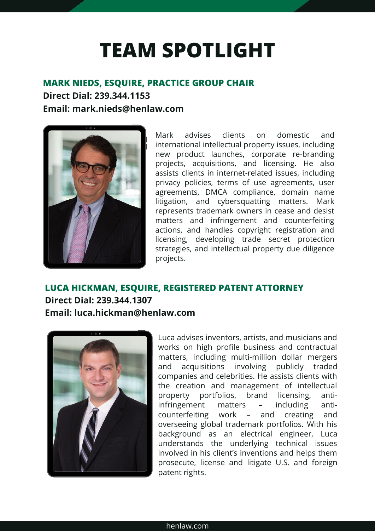## **TEAM SPOTLIGHT**

#### **MARK NIEDS, ESQUIRE, PRACTICE GROUP CHAIR**

**Direct Dial: 239.344.1153 Email: mark.nieds@henlaw.com**



Mark advises clients on domestic and international intellectual property issues, including new product launches, corporate re-branding projects, acquisitions, and licensing. He also assists clients in internet-related issues, including privacy policies, terms of use agreements, user agreements, DMCA compliance, domain name litigation, and cybersquatting matters. Mark represents trademark owners in cease and desist matters and infringement and counterfeiting actions, and handles copyright registration and licensing, developing trade secret protection strategies, and intellectual property due diligence projects.

#### **LUCA HICKMAN, ESQUIRE, REGISTERED PATENT ATTORNEY Direct Dial: 239.344.1307 Email: luca.hickman@henlaw.com**



Luca advises inventors, artists, and musicians and works on high profile business and contractual matters, including multi-million dollar mergers and acquisitions involving publicly traded companies and celebrities. He assists clients with the creation and management of intellectual property portfolios, brand licensing, antiinfringement matters – including anticounterfeiting work – and creating and overseeing global trademark portfolios. With his background as an electrical engineer, Luca understands the underlying technical issues involved in his client's inventions and helps them prosecute, license and litigate U.S. and foreign patent rights.